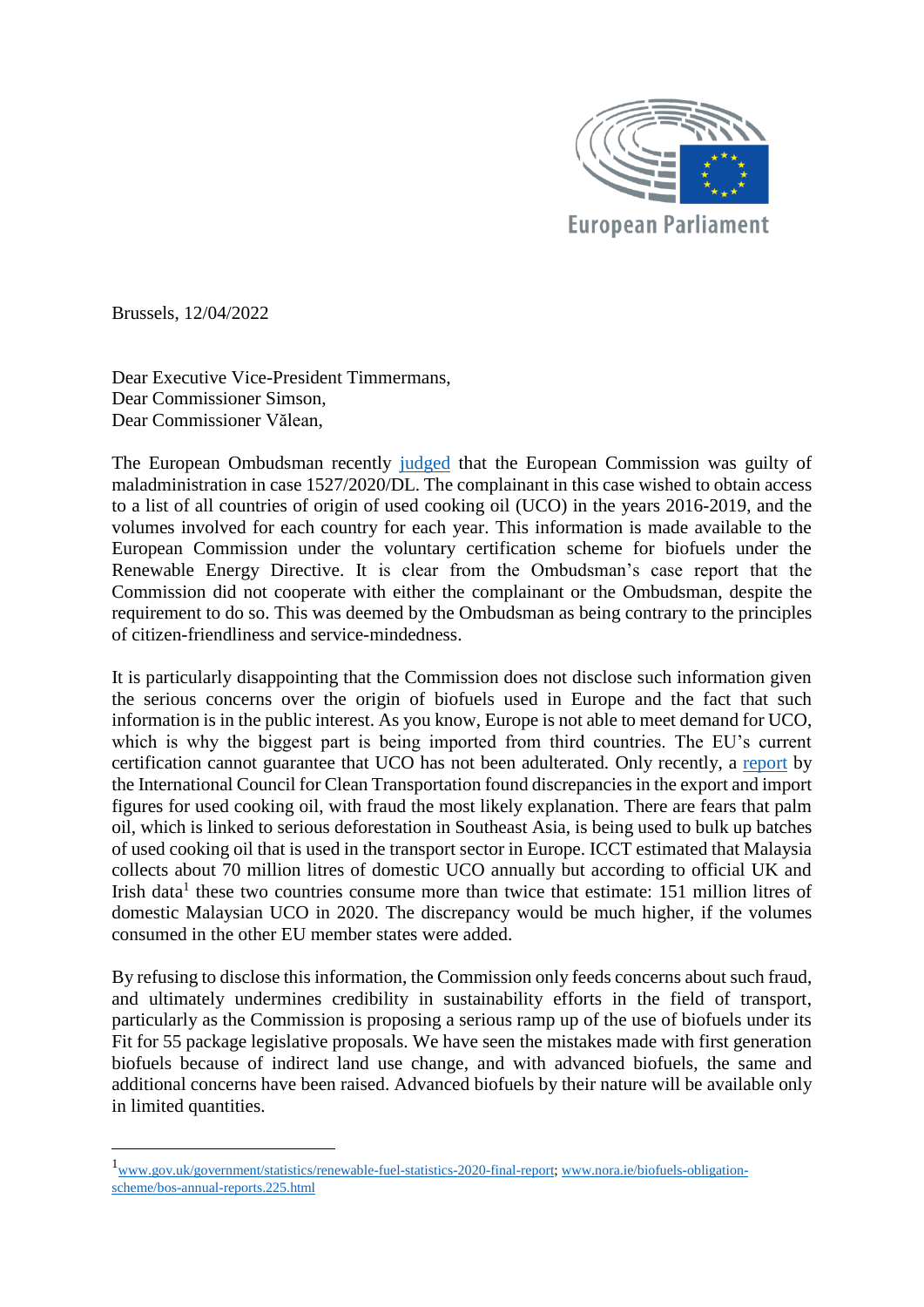

Brussels, 12/04/2022

1

Dear Executive Vice-President Timmermans, Dear Commissioner Simson, Dear Commissioner Vălean,

The European Ombudsman recently [judged](https://www.ombudsman.europa.eu/en/decision/en/153581) that the European Commission was guilty of maladministration in case 1527/2020/DL. The complainant in this case wished to obtain access to a list of all countries of origin of used cooking oil (UCO) in the years 2016-2019, and the volumes involved for each country for each year. This information is made available to the European Commission under the voluntary certification scheme for biofuels under the Renewable Energy Directive. It is clear from the Ombudsman's case report that the Commission did not cooperate with either the complainant or the Ombudsman, despite the requirement to do so. This was deemed by the Ombudsman as being contrary to the principles of citizen-friendliness and service-mindedness.

It is particularly disappointing that the Commission does not disclose such information given the serious concerns over the origin of biofuels used in Europe and the fact that such information is in the public interest. As you know, Europe is not able to meet demand for UCO, which is why the biggest part is being imported from third countries. The EU's current certification cannot guarantee that UCO has not been adulterated. Only recently, a [report](https://www.euractiv.com/section/agrifuels/news/discrepancy-in-british-and-irish-used-cooking-oil-imports-raises-biofuel-fraud-concerns/) by the International Council for Clean Transportation found discrepancies in the export and import figures for used cooking oil, with fraud the most likely explanation. There are fears that palm oil, which is linked to serious deforestation in Southeast Asia, is being used to bulk up batches of used cooking oil that is used in the transport sector in Europe. ICCT estimated that Malaysia collects about 70 million litres of domestic UCO annually but according to official UK and Irish data<sup>1</sup> these two countries consume more than twice that estimate: 151 million litres of domestic Malaysian UCO in 2020. The discrepancy would be much higher, if the volumes consumed in the other EU member states were added.

By refusing to disclose this information, the Commission only feeds concerns about such fraud, and ultimately undermines credibility in sustainability efforts in the field of transport, particularly as the Commission is proposing a serious ramp up of the use of biofuels under its Fit for 55 package legislative proposals. We have seen the mistakes made with first generation biofuels because of indirect land use change, and with advanced biofuels, the same and additional concerns have been raised. Advanced biofuels by their nature will be available only in limited quantities.

<sup>1</sup>[www.gov.uk/government/statistics/renewable-fuel-statistics-2020-final-report;](http://www.gov.uk/government/statistics/renewable-fuel-statistics-2020-final-report) [www.nora.ie/biofuels-obligation](http://www.nora.ie/biofuels-obligation-scheme/bos-annual-reports.225.html)[scheme/bos-annual-reports.225.html](http://www.nora.ie/biofuels-obligation-scheme/bos-annual-reports.225.html)